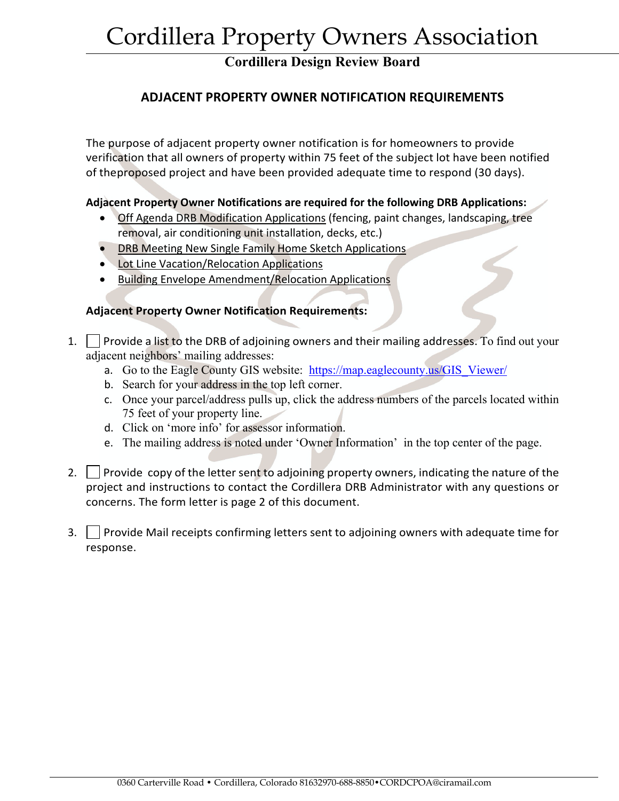# Cordillera Property Owners Association

## **Cordillera Design Review Board**

## **ADJACENT PROPERTY OWNER NOTIFICATION REQUIREMENTS**

The purpose of adjacent property owner notification is for homeowners to provide verification that all owners of property within 75 feet of the subject lot have been notified of theproposed project and have been provided adequate time to respond (30 days).

#### **Adjacent Property Owner Notifications are required for the following DRB Applications:**

- Off Agenda DRB Modification Applications (fencing, paint changes, landscaping, tree removal, air conditioning unit installation, decks, etc.)
- DRB Meeting New Single Family Home Sketch Applications
- Lot Line Vacation/Relocation Applications
- Building Envelope Amendment/Relocation Applications

#### **Adjacent Property Owner Notification Requirements:**

- 1. Provide a list to the DRB of adjoining owners and their mailing addresses. To find out your adjacent neighbors' mailing addresses:
	- a. Go to the Eagle County GIS website: https://map.eaglecounty.us/GIS\_Viewer/
	- b. Search for your address in the top left corner.
	- c. Once your parcel/address pulls up, click the address numbers of the parcels located within 75 feet of your property line.
	- d. Click on 'more info' for assessor information.
	- e. The mailing address is noted under 'Owner Information' in the top center of the page.
- 2.  $\vert$  Provide copy of the letter sent to adjoining property owners, indicating the nature of the project and instructions to contact the Cordillera DRB Administrator with any questions or concerns. The form letter is page 2 of this document.
- $3.$  Provide Mail receipts confirming letters sent to adjoining owners with adequate time for response.